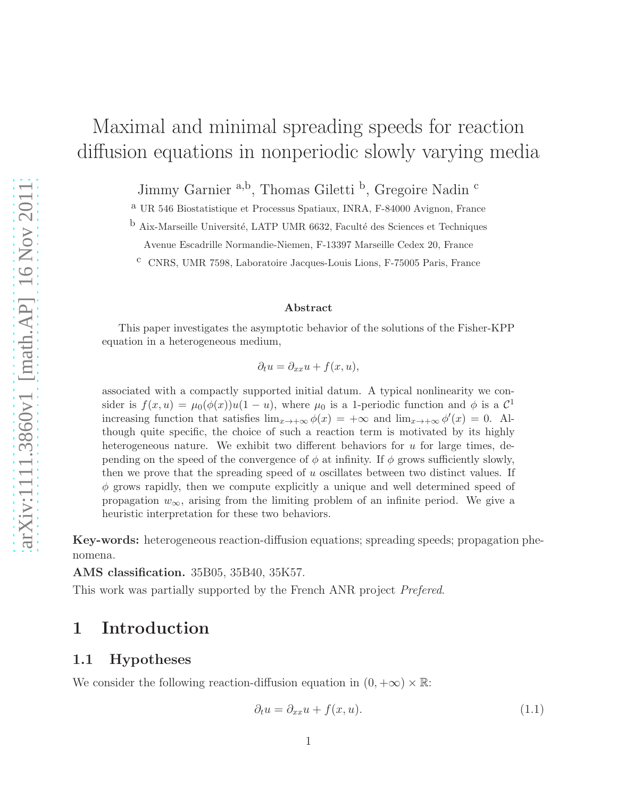# Maximal and minimal spreading speeds for reaction diffusion equations in nonperiodic slowly varying media

Jimmy Garnier <sup>a,b</sup>, Thomas Giletti <sup>b</sup>, Gregoire Nadin <sup>c</sup>

a UR 546 Biostatistique et Processus Spatiaux, INRA, F-84000 Avignon, France

b Aix-Marseille Université, LATP UMR 6632, Faculté des Sciences et Techniques

Avenue Escadrille Normandie-Niemen, F-13397 Marseille Cedex 20, France

c CNRS, UMR 7598, Laboratoire Jacques-Louis Lions, F-75005 Paris, France

#### Abstract

This paper investigates the asymptotic behavior of the solutions of the Fisher-KPP equation in a heterogeneous medium,

 $\partial_t u = \partial_{xx} u + f(x, u),$ 

associated with a compactly supported initial datum. A typical nonlinearity we consider is  $f(x, u) = \mu_0(\phi(x))u(1 - u)$ , where  $\mu_0$  is a 1-periodic function and  $\phi$  is a  $\mathcal{C}^1$ increasing function that satisfies  $\lim_{x\to+\infty}\phi(x) = +\infty$  and  $\lim_{x\to+\infty}\phi'(x) = 0$ . Although quite specific, the choice of such a reaction term is motivated by its highly heterogeneous nature. We exhibit two different behaviors for  $u$  for large times, depending on the speed of the convergence of  $\phi$  at infinity. If  $\phi$  grows sufficiently slowly, then we prove that the spreading speed of  $u$  oscillates between two distinct values. If  $\phi$  grows rapidly, then we compute explicitly a unique and well determined speed of propagation  $w_{\infty}$ , arising from the limiting problem of an infinite period. We give a heuristic interpretation for these two behaviors.

Key-words: heterogeneous reaction-diffusion equations; spreading speeds; propagation phenomena.

AMS classification. 35B05, 35B40, 35K57.

This work was partially supported by the French ANR project *Prefered*.

## 1 Introduction

#### 1.1 Hypotheses

We consider the following reaction-diffusion equation in  $(0, +\infty) \times \mathbb{R}$ :

<span id="page-0-0"></span>
$$
\partial_t u = \partial_{xx} u + f(x, u). \tag{1.1}
$$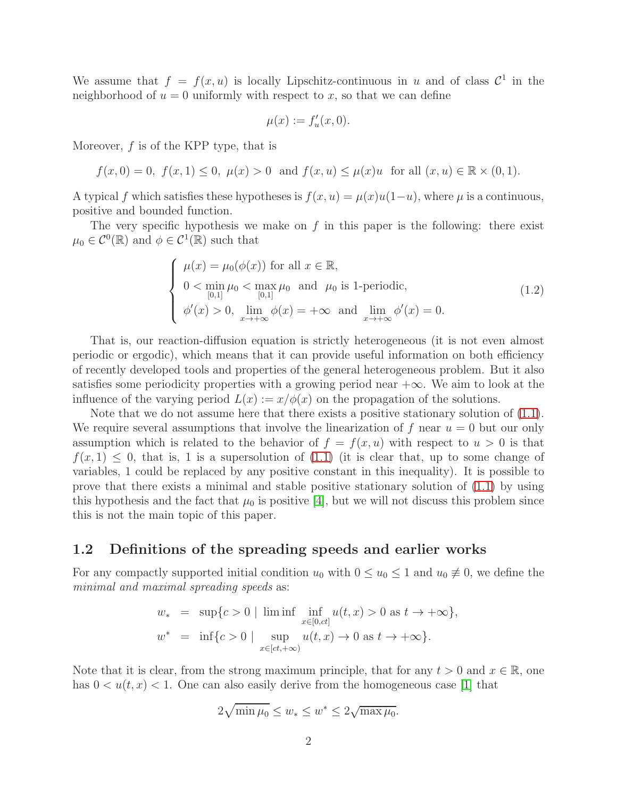We assume that  $f = f(x, u)$  is locally Lipschitz-continuous in u and of class  $C^1$  in the neighborhood of  $u = 0$  uniformly with respect to x, so that we can define

$$
\mu(x) := f'_u(x,0).
$$

Moreover, f is of the KPP type, that is

$$
f(x, 0) = 0
$$
,  $f(x, 1) \le 0$ ,  $\mu(x) > 0$  and  $f(x, u) \le \mu(x)u$  for all  $(x, u) \in \mathbb{R} \times (0, 1)$ .

A typical f which satisfies these hypotheses is  $f(x, u) = \mu(x)u(1-u)$ , where  $\mu$  is a continuous, positive and bounded function.

The very specific hypothesis we make on  $f$  in this paper is the following: there exist  $\mu_0 \in C^0(\mathbb{R})$  and  $\phi \in C^1(\mathbb{R})$  such that

<span id="page-1-0"></span>
$$
\begin{cases}\n\mu(x) = \mu_0(\phi(x)) \text{ for all } x \in \mathbb{R}, \\
0 < \min_{[0,1]} \mu_0 < \max_{[0,1]} \mu_0 \text{ and } \mu_0 \text{ is 1-periodic}, \\
\phi'(x) > 0, \lim_{x \to +\infty} \phi(x) = +\infty \text{ and } \lim_{x \to +\infty} \phi'(x) = 0.\n\end{cases}
$$
\n(1.2)

That is, our reaction-diffusion equation is strictly heterogeneous (it is not even almost periodic or ergodic), which means that it can provide useful information on both efficiency of recently developed tools and properties of the general heterogeneous problem. But it also satisfies some periodicity properties with a growing period near  $+\infty$ . We aim to look at the influence of the varying period  $L(x) := x/\phi(x)$  on the propagation of the solutions.

Note that we do not assume here that there exists a positive stationary solution of [\(1.1\)](#page-0-0). We require several assumptions that involve the linearization of f near  $u = 0$  but our only assumption which is related to the behavior of  $f = f(x, u)$  with respect to  $u > 0$  is that  $f(x, 1) \leq 0$ , that is, 1 is a supersolution of  $(1.1)$  (it is clear that, up to some change of variables, 1 could be replaced by any positive constant in this inequality). It is possible to prove that there exists a minimal and stable positive stationary solution of [\(1.1\)](#page-0-0) by using this hypothesis and the fact that  $\mu_0$  is positive [\[4\]](#page-18-0), but we will not discuss this problem since this is not the main topic of this paper.

#### 1.2 Definitions of the spreading speeds and earlier works

For any compactly supported initial condition  $u_0$  with  $0 \le u_0 \le 1$  and  $u_0 \ne 0$ , we define the *minimal and maximal spreading speeds* as:

$$
w_* = \sup\{c > 0 \mid \liminf_{x \in [0, ct]} u(t, x) > 0 \text{ as } t \to +\infty\},\
$$
  

$$
w^* = \inf\{c > 0 \mid \sup_{x \in [ct, +\infty)} u(t, x) \to 0 \text{ as } t \to +\infty\}.
$$

Note that it is clear, from the strong maximum principle, that for any  $t > 0$  and  $x \in \mathbb{R}$ , one has  $0 < u(t, x) < 1$ . One can also easily derive from the homogeneous case [\[1\]](#page-18-1) that

$$
2\sqrt{\min \mu_0} \le w_* \le w^* \le 2\sqrt{\max \mu_0}.
$$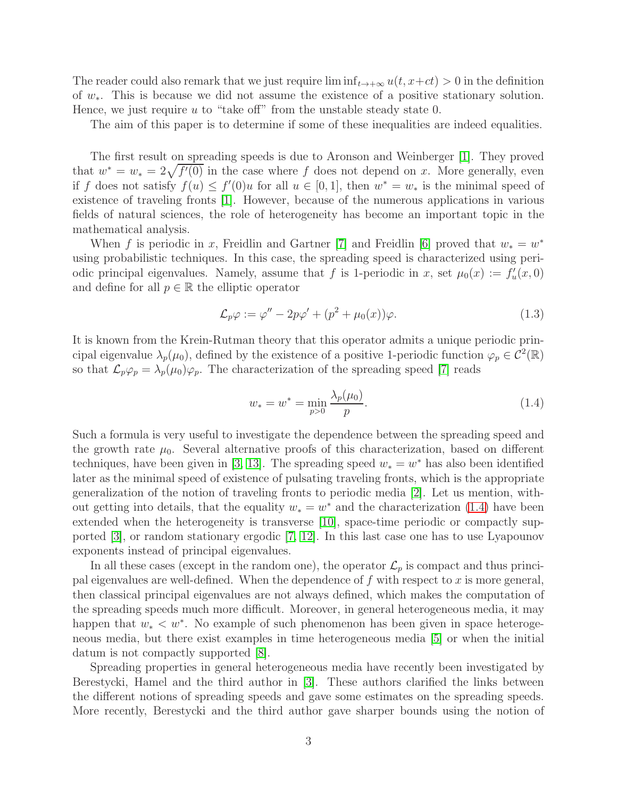The reader could also remark that we just require  $\liminf_{t\to+\infty} u(t, x+ct) > 0$  in the definition of w∗. This is because we did not assume the existence of a positive stationary solution. Hence, we just require  $u$  to "take off" from the unstable steady state 0.

The aim of this paper is to determine if some of these inequalities are indeed equalities.

The first result on spreading speeds is due to Aronson and Weinberger [\[1\]](#page-18-1). They proved that  $w^* = w_* = 2\sqrt{f'(0)}$  in the case where f does not depend on x. More generally, even if f does not satisfy  $f(u) \leq f'(0)u$  for all  $u \in [0,1]$ , then  $w^* = w_*$  is the minimal speed of existence of traveling fronts [\[1\]](#page-18-1). However, because of the numerous applications in various fields of natural sciences, the role of heterogeneity has become an important topic in the mathematical analysis.

When f is periodic in x, Freidlin and Gartner [\[7\]](#page-18-2) and Freidlin [\[6\]](#page-18-3) proved that  $w_* = w^*$ using probabilistic techniques. In this case, the spreading speed is characterized using periodic principal eigenvalues. Namely, assume that f is 1-periodic in x, set  $\mu_0(x) := f'_u(x,0)$ and define for all  $p \in \mathbb{R}$  the elliptic operator

$$
\mathcal{L}_p \varphi := \varphi'' - 2p\varphi' + (p^2 + \mu_0(x))\varphi.
$$
\n(1.3)

It is known from the Krein-Rutman theory that this operator admits a unique periodic principal eigenvalue  $\lambda_p(\mu_0)$ , defined by the existence of a positive 1-periodic function  $\varphi_p \in C^2(\mathbb{R})$ so that  $\mathcal{L}_p\varphi_p = \lambda_p(\mu_0)\varphi_p$ . The characterization of the spreading speed [\[7\]](#page-18-2) reads

<span id="page-2-0"></span>
$$
w_* = w^* = \min_{p>0} \frac{\lambda_p(\mu_0)}{p}.
$$
\n(1.4)

Such a formula is very useful to investigate the dependence between the spreading speed and the growth rate  $\mu_0$ . Several alternative proofs of this characterization, based on different techniques, have been given in [\[3,](#page-18-4) [13\]](#page-19-0). The spreading speed  $w_* = w^*$  has also been identified later as the minimal speed of existence of pulsating traveling fronts, which is the appropriate generalization of the notion of traveling fronts to periodic media [\[2\]](#page-18-5). Let us mention, without getting into details, that the equality  $w_* = w^*$  and the characterization [\(1.4\)](#page-2-0) have been extended when the heterogeneity is transverse [\[10\]](#page-18-6), space-time periodic or compactly supported [\[3\]](#page-18-4), or random stationary ergodic [\[7,](#page-18-2) [12\]](#page-19-1). In this last case one has to use Lyapounov exponents instead of principal eigenvalues.

In all these cases (except in the random one), the operator  $\mathcal{L}_p$  is compact and thus principal eigenvalues are well-defined. When the dependence of  $f$  with respect to  $x$  is more general, then classical principal eigenvalues are not always defined, which makes the computation of the spreading speeds much more difficult. Moreover, in general heterogeneous media, it may happen that  $w_* < w^*$ . No example of such phenomenon has been given in space heterogeneous media, but there exist examples in time heterogeneous media [\[5\]](#page-18-7) or when the initial datum is not compactly supported [\[8\]](#page-18-8).

Spreading properties in general heterogeneous media have recently been investigated by Berestycki, Hamel and the third author in [\[3\]](#page-18-4). These authors clarified the links between the different notions of spreading speeds and gave some estimates on the spreading speeds. More recently, Berestycki and the third author gave sharper bounds using the notion of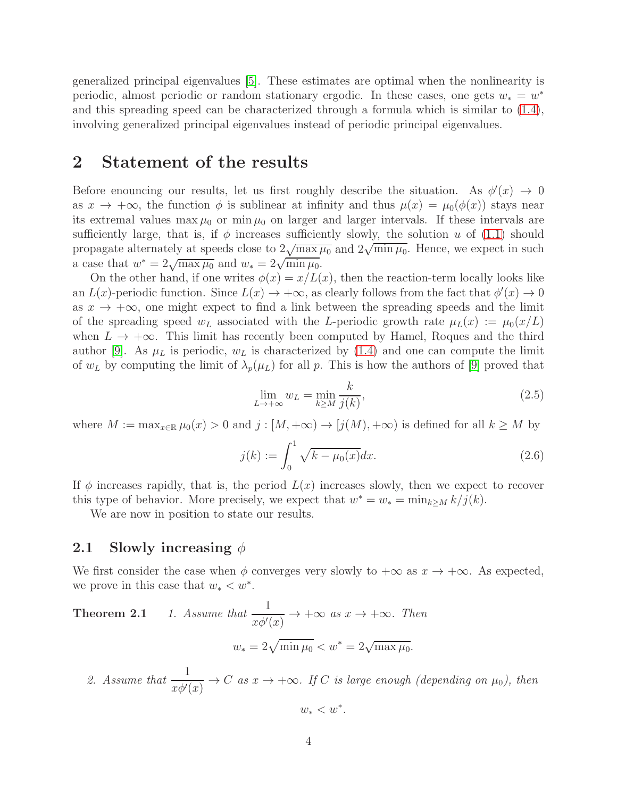generalized principal eigenvalues [\[5\]](#page-18-7). These estimates are optimal when the nonlinearity is periodic, almost periodic or random stationary ergodic. In these cases, one gets  $w_* = w^*$ and this spreading speed can be characterized through a formula which is similar to [\(1.4\)](#page-2-0), involving generalized principal eigenvalues instead of periodic principal eigenvalues.

## 2 Statement of the results

Before enouncing our results, let us first roughly describe the situation. As  $\phi'(x) \to 0$ as  $x \to +\infty$ , the function  $\phi$  is sublinear at infinity and thus  $\mu(x) = \mu_0(\phi(x))$  stays near its extremal values max  $\mu_0$  or min  $\mu_0$  on larger and larger intervals. If these intervals are sufficiently large, that is, if  $\phi$  increases sufficiently slowly, the solution u of [\(1.1\)](#page-0-0) should propagate alternately at speeds close to  $2\sqrt{\max \mu_0}$  and  $2\sqrt{\min \mu_0}$ . Hence, we expect in such a case that  $w^* = 2\sqrt{\max \mu_0}$  and  $w_* = 2\sqrt{\min \mu_0}$ .

On the other hand, if one writes  $\phi(x) = x/L(x)$ , then the reaction-term locally looks like an  $L(x)$ -periodic function. Since  $L(x) \to +\infty$ , as clearly follows from the fact that  $\phi'(x) \to 0$ as  $x \to +\infty$ , one might expect to find a link between the spreading speeds and the limit of the spreading speed  $w_L$  associated with the L-periodic growth rate  $\mu_L(x) := \mu_0(x/L)$ when  $L \to +\infty$ . This limit has recently been computed by Hamel, Roques and the third author [\[9\]](#page-18-9). As  $\mu_L$  is periodic,  $w_L$  is characterized by [\(1.4\)](#page-2-0) and one can compute the limit of  $w_L$  by computing the limit of  $\lambda_p(\mu_L)$  for all p. This is how the authors of [\[9\]](#page-18-9) proved that

$$
\lim_{L \to +\infty} w_L = \min_{k \ge M} \frac{k}{j(k)},\tag{2.5}
$$

where  $M := \max_{x \in \mathbb{R}} \mu_0(x) > 0$  and  $j : [M, +\infty) \to [j(M), +\infty)$  is defined for all  $k \geq M$  by

<span id="page-3-0"></span>
$$
j(k) := \int_0^1 \sqrt{k - \mu_0(x)} dx.
$$
 (2.6)

If  $\phi$  increases rapidly, that is, the period  $L(x)$  increases slowly, then we expect to recover this type of behavior. More precisely, we expect that  $w^* = w_* = \min_{k \ge M} k/j(k)$ .

We are now in position to state our results.

#### 2.1 Slowly increasing  $\phi$

<span id="page-3-1"></span>We first consider the case when  $\phi$  converges very slowly to  $+\infty$  as  $x \to +\infty$ . As expected, we prove in this case that  $w_* < w^*$ .

**Theorem 2.1** 1. Assume that 
$$
\frac{1}{x\phi'(x)} \to +\infty
$$
 as  $x \to +\infty$ . Then  

$$
w_* = 2\sqrt{\min \mu_0} < w^* = 2\sqrt{\max \mu_0}.
$$

2. Assume that  $\frac{1}{10}$  $\frac{1}{x\phi'(x)} \to C$  *as*  $x \to +\infty$ *. If C is large enough (depending on*  $\mu_0$ ), then

 $w_* < w^*$ .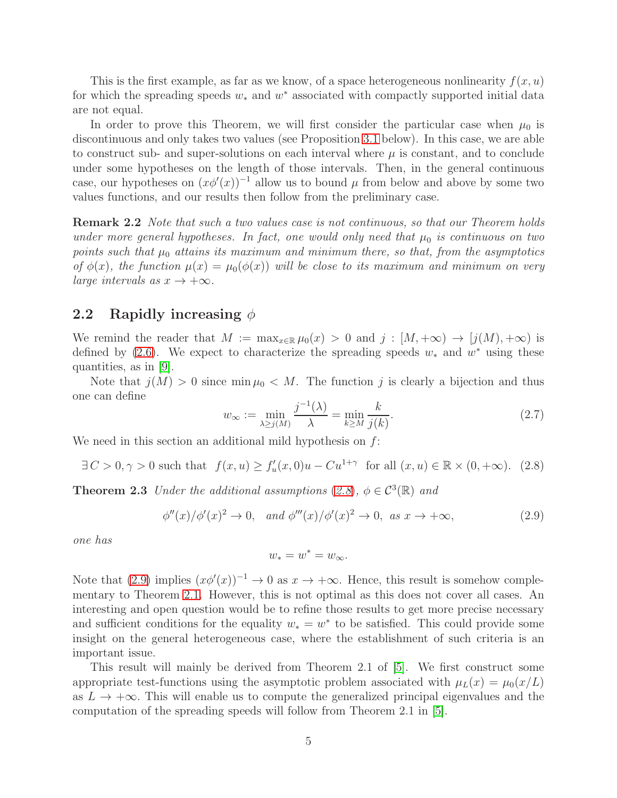This is the first example, as far as we know, of a space heterogeneous nonlinearity  $f(x, u)$ for which the spreading speeds  $w_*$  and  $w^*$  associated with compactly supported initial data are not equal.

In order to prove this Theorem, we will first consider the particular case when  $\mu_0$  is discontinuous and only takes two values (see Proposition [3.1](#page-6-0) below). In this case, we are able to construct sub- and super-solutions on each interval where  $\mu$  is constant, and to conclude under some hypotheses on the length of those intervals. Then, in the general continuous case, our hypotheses on  $(x\phi'(x))^{-1}$  allow us to bound  $\mu$  from below and above by some two values functions, and our results then follow from the preliminary case.

Remark 2.2 *Note that such a two values case is not continuous, so that our Theorem holds under more general hypotheses. In fact, one would only need that*  $\mu_0$  *is continuous on two points such that*  $\mu_0$  *attains its maximum and minimum there, so that, from the asymptotics of*  $\phi(x)$ , the function  $\mu(x) = \mu_0(\phi(x))$  will be close to its maximum and minimum on very *large intervals as*  $x \to +\infty$ *.* 

#### 2.2 Rapidly increasing  $\phi$

We remind the reader that  $M := \max_{x \in \mathbb{R}} \mu_0(x) > 0$  and  $j : [M, +\infty) \to [j(M), +\infty)$  is defined by [\(2.6\)](#page-3-0). We expect to characterize the spreading speeds  $w_*$  and  $w^*$  using these quantities, as in [\[9\]](#page-18-9).

Note that  $j(M) > 0$  since min  $\mu_0 < M$ . The function j is clearly a bijection and thus one can define

$$
w_{\infty} := \min_{\lambda \ge j(M)} \frac{j^{-1}(\lambda)}{\lambda} = \min_{k \ge M} \frac{k}{j(k)}.
$$
\n(2.7)

We need in this section an additional mild hypothesis on  $f$ :

<span id="page-4-0"></span>
$$
\exists C > 0, \gamma > 0 \text{ such that } f(x, u) \ge f'_u(x, 0)u - Cu^{1+\gamma} \text{ for all } (x, u) \in \mathbb{R} \times (0, +\infty). \tag{2.8}
$$

<span id="page-4-2"></span>**Theorem 2.3** *Under the additional assumptions* ([2.8](#page-4-0)),  $\phi \in C^3(\mathbb{R})$  *and* 

<span id="page-4-1"></span>
$$
\phi''(x)/\phi'(x)^2 \to 0, \quad \text{and } \phi'''(x)/\phi'(x)^2 \to 0, \text{ as } x \to +\infty,
$$
\n(2.9)

*one has*

$$
w_* = w^* = w_\infty.
$$

Note that  $(2.9)$  implies  $(x\phi'(x))^{-1} \to 0$  as  $x \to +\infty$ . Hence, this result is somehow complementary to Theorem [2.1.](#page-3-1) However, this is not optimal as this does not cover all cases. An interesting and open question would be to refine those results to get more precise necessary and sufficient conditions for the equality  $w_* = w^*$  to be satisfied. This could provide some insight on the general heterogeneous case, where the establishment of such criteria is an important issue.

This result will mainly be derived from Theorem 2.1 of [\[5\]](#page-18-7). We first construct some appropriate test-functions using the asymptotic problem associated with  $\mu_L(x) = \mu_0(x/L)$ as  $L \to +\infty$ . This will enable us to compute the generalized principal eigenvalues and the computation of the spreading speeds will follow from Theorem 2.1 in [\[5\]](#page-18-7).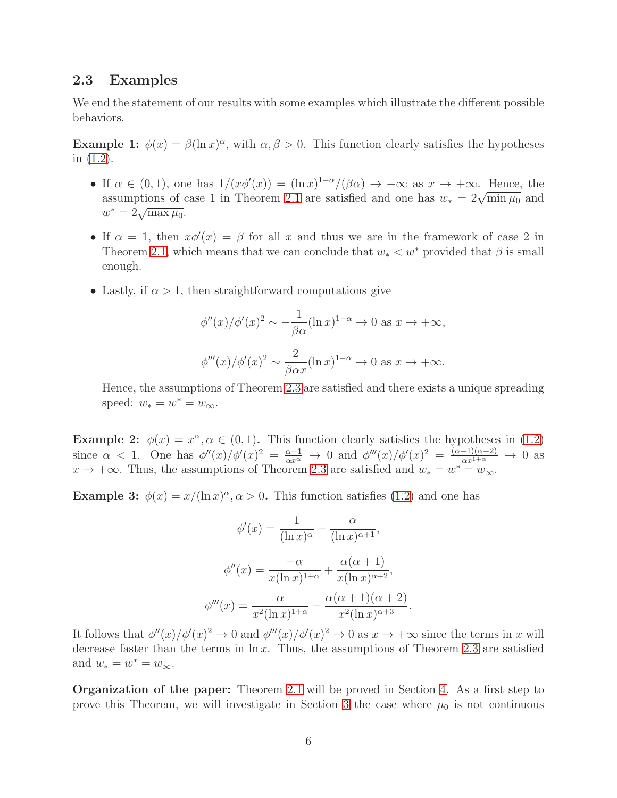#### 2.3 Examples

We end the statement of our results with some examples which illustrate the different possible behaviors.

**Example 1:**  $\phi(x) = \beta(\ln x)^{\alpha}$ , with  $\alpha, \beta > 0$ . This function clearly satisfies the hypotheses in [\(1.2\)](#page-1-0).

- If  $\alpha \in (0,1)$ , one has  $1/(x\phi'(x)) = (\ln x)^{1-\alpha}/(\beta \alpha) \rightarrow +\infty$  as  $x \rightarrow +\infty$ . Hence, the assumptions of case 1 in Theorem [2.1](#page-3-1) are satisfied and one has  $w_* = 2\sqrt{\min \mu_0}$  and  $w^* = 2\sqrt{\max \mu_0}.$
- If  $\alpha = 1$ , then  $x\phi'(x) = \beta$  for all x and thus we are in the framework of case 2 in Theorem [2.1,](#page-3-1) which means that we can conclude that  $w_* < w^*$  provided that  $\beta$  is small enough.
- Lastly, if  $\alpha > 1$ , then straightforward computations give

$$
\phi''(x)/\phi'(x)^2 \sim -\frac{1}{\beta \alpha} (\ln x)^{1-\alpha} \to 0 \text{ as } x \to +\infty,
$$
  

$$
\phi'''(x)/\phi'(x)^2 \sim \frac{2}{\beta \alpha x} (\ln x)^{1-\alpha} \to 0 \text{ as } x \to +\infty.
$$

Hence, the assumptions of Theorem [2.3](#page-4-2) are satisfied and there exists a unique spreading speed:  $w_* = w^* = w_{\infty}$ .

**Example 2:**  $\phi(x) = x^{\alpha}, \alpha \in (0, 1)$ . This function clearly satisfies the hypotheses in [\(1.2\)](#page-1-0) since  $\alpha < 1$ . One has  $\phi''(x)/\phi'(x)^2 = \frac{\alpha-1}{\alpha x^{\alpha}} \to 0$  and  $\phi'''(x)/\phi'(x)^2 = \frac{(\alpha-1)(\alpha-2)}{\alpha x^{1+\alpha}} \to 0$  as  $x \to +\infty$ . Thus, the assumptions of Theorem [2.3](#page-4-2) are satisfied and  $w_* = w^* = w_{\infty}$ .

**Example 3:**  $\phi(x) = x/(\ln x)^\alpha$ ,  $\alpha > 0$ . This function satisfies [\(1.2\)](#page-1-0) and one has

$$
\phi'(x) = \frac{1}{(\ln x)^{\alpha}} - \frac{\alpha}{(\ln x)^{\alpha+1}},
$$

$$
\phi''(x) = \frac{-\alpha}{x(\ln x)^{1+\alpha}} + \frac{\alpha(\alpha+1)}{x(\ln x)^{\alpha+2}},
$$

$$
\phi'''(x) = \frac{\alpha}{x^2(\ln x)^{1+\alpha}} - \frac{\alpha(\alpha+1)(\alpha+2)}{x^2(\ln x)^{\alpha+3}}.
$$

It follows that  $\phi''(x)/\phi'(x)^2 \to 0$  and  $\phi'''(x)/\phi'(x)^2 \to 0$  as  $x \to +\infty$  since the terms in x will decrease faster than the terms in  $\ln x$ . Thus, the assumptions of Theorem [2.3](#page-4-2) are satisfied and  $w_* = w^* = w_\infty$ .

Organization of the paper: Theorem [2.1](#page-3-1) will be proved in Section [4.](#page-10-0) As a first step to prove this Theorem, we will investigate in Section [3](#page-6-1) the case where  $\mu_0$  is not continuous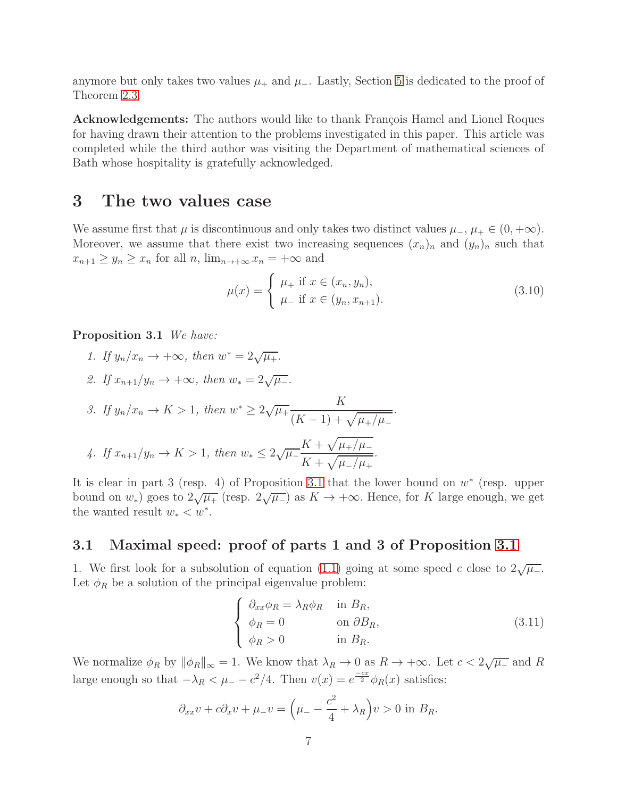anymore but only takes two values  $\mu_+$  and  $\mu_-$ . Lastly, Section [5](#page-12-0) is dedicated to the proof of Theorem [2.3.](#page-4-2)

Acknowledgements: The authors would like to thank François Hamel and Lionel Roques for having drawn their attention to the problems investigated in this paper. This article was completed while the third author was visiting the Department of mathematical sciences of Bath whose hospitality is gratefully acknowledged.

### <span id="page-6-1"></span>3 The two values case

We assume first that  $\mu$  is discontinuous and only takes two distinct values  $\mu_-, \mu_+ \in (0, +\infty)$ . Moreover, we assume that there exist two increasing sequences  $(x_n)_n$  and  $(y_n)_n$  such that  $x_{n+1} \geq y_n \geq x_n$  for all  $n$ ,  $\lim_{n \to +\infty} x_n = +\infty$  and

$$
\mu(x) = \begin{cases} \mu_+ \text{ if } x \in (x_n, y_n), \\ \mu_- \text{ if } x \in (y_n, x_{n+1}). \end{cases}
$$
\n(3.10)

*.*

<span id="page-6-0"></span>Proposition 3.1 *We have:*

- 1. If  $y_n/x_n \to +\infty$ , then  $w^* = 2\sqrt{\mu_+}$ .
- *2. If*  $x_{n+1}/y_n \to +\infty$ *, then*  $w_* = 2\sqrt{\mu_-}$ *.*

3. If 
$$
y_n/x_n \to K > 1
$$
, then  $w^* \ge 2\sqrt{\mu_+} \frac{K}{(K-1) + \sqrt{\mu_+/\mu_-}}$   
4. If  $x_{n+1}/y_n \to K > 1$ , then  $w_* \le 2\sqrt{\mu_-} \frac{K + \sqrt{\mu_+/\mu_-}}{K + \sqrt{\mu_-/\mu_+}}$ .

It is clear in part 3 (resp. 4) of Proposition [3.1](#page-6-0) that the lower bound on  $w^*$  (resp. upper bound on  $w_*$ ) goes to  $2\sqrt{\mu_+}$  (resp.  $2\sqrt{\mu_-}$ ) as  $K \to +\infty$ . Hence, for K large enough, we get the wanted result  $w_* < w^*$ .

 $\mathbf{r}$ 

#### 3.1 Maximal speed: proof of parts 1 and 3 of Proposition [3.1](#page-6-0)

1. We first look for a subsolution of equation [\(1.1\)](#page-0-0) going at some speed c close to  $2\sqrt{\mu_-}$ . Let  $\phi_R$  be a solution of the principal eigenvalue problem:

<span id="page-6-2"></span>
$$
\begin{cases}\n\partial_{xx}\phi_R = \lambda_R \phi_R & \text{in } B_R, \\
\phi_R = 0 & \text{on } \partial B_R, \\
\phi_R > 0 & \text{in } B_R.\n\end{cases}
$$
\n(3.11)

We normalize  $\phi_R$  by  $\|\phi_R\|_{\infty} = 1$ . We know that  $\lambda_R \to 0$  as  $R \to +\infty$ . Let  $c < 2\sqrt{\mu_-}$  and R large enough so that  $-\lambda_R < \mu = -c^2/4$ . Then  $v(x) = e^{\frac{-cx}{2}} \phi_R(x)$  satisfies:

$$
\partial_{xx}v + c\partial_x v + \mu_- v = \left(\mu_- - \frac{c^2}{4} + \lambda_R\right)v > 0 \text{ in } B_R.
$$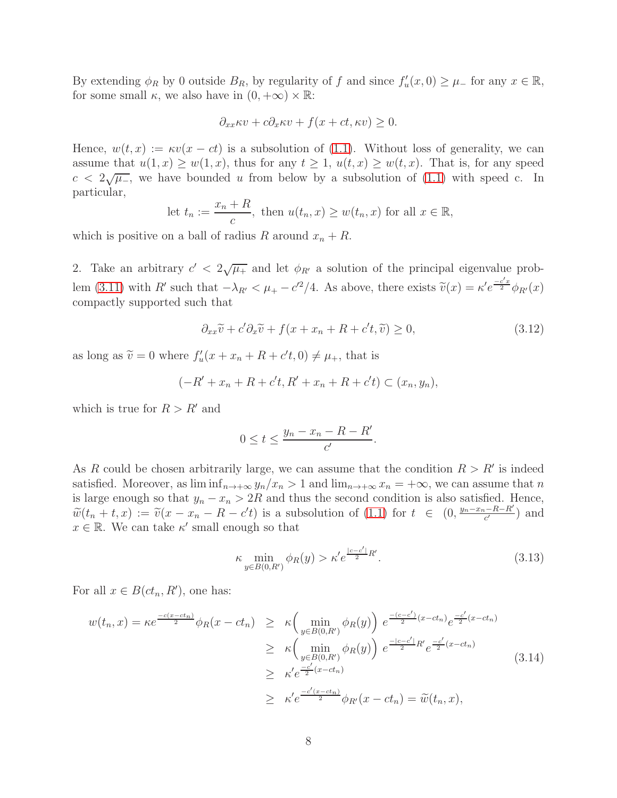By extending  $\phi_R$  by 0 outside  $B_R$ , by regularity of f and since  $f'_u(x, 0) \geq \mu$  for any  $x \in \mathbb{R}$ , for some small  $\kappa$ , we also have in  $(0, +\infty) \times \mathbb{R}$ :

$$
\partial_{xx}\kappa v + c\partial_x \kappa v + f(x + ct, \kappa v) \ge 0.
$$

Hence,  $w(t, x) := \kappa v(x - ct)$  is a subsolution of [\(1.1\)](#page-0-0). Without loss of generality, we can assume that  $u(1, x) \geq w(1, x)$ , thus for any  $t \geq 1$ ,  $u(t, x) \geq w(t, x)$ . That is, for any speed  $c < 2\sqrt{\mu_{-}}$ , we have bounded u from below by a subsolution of [\(1.1\)](#page-0-0) with speed c. In particular,

let 
$$
t_n := \frac{x_n + R}{c}
$$
, then  $u(t_n, x) \geq w(t_n, x)$  for all  $x \in \mathbb{R}$ ,

which is positive on a ball of radius R around  $x_n + R$ .

2. Take an arbitrary  $c' < 2\sqrt{\mu_{+}}$  and let  $\phi_{R'}$  a solution of the principal eigenvalue prob-lem [\(3.11\)](#page-6-2) with R' such that  $-\lambda_{R'} < \mu_+ - c'^2/4$ . As above, there exists  $\tilde{v}(x) = \kappa' e^{\frac{-c'x}{2}} \phi_{R'}(x)$ compactly supported such that

$$
\partial_{xx}\widetilde{v} + c'\partial_x\widetilde{v} + f(x + x_n + R + c't, \widetilde{v}) \ge 0,\tag{3.12}
$$

as long as  $\tilde{v} = 0$  where  $f'_u(x + x_n + R + c't, 0) \neq \mu_+$ , that is

$$
(-R' + x_n + R + c't, R' + x_n + R + c't) \subset (x_n, y_n),
$$

which is true for  $R > R'$  and

$$
0 \le t \le \frac{y_n - x_n - R - R'}{c'}.
$$

As R could be chosen arbitrarily large, we can assume that the condition  $R > R'$  is indeed satisfied. Moreover, as  $\liminf_{n\to+\infty} y_n/x_n > 1$  and  $\lim_{n\to+\infty} x_n = +\infty$ , we can assume that n is large enough so that  $y_n - x_n > 2R$  and thus the second condition is also satisfied. Hence,  $\widetilde{w}(t_n + t, x) := \widetilde{v}(x - x_n - R - c't)$  is a subsolution of [\(1.1\)](#page-0-0) for  $t \in (0, \frac{y_n - x_n - R - R'}{c'})$  and  $x \in \mathbb{R}$ . We can take  $\kappa'$  small enough so that

$$
\kappa \min_{y \in B(0,R')} \phi_R(y) > \kappa' e^{\frac{|c-c'|}{2}R'}.\tag{3.13}
$$

For all  $x \in B(ct_n, R')$ , one has:

$$
w(t_n, x) = \kappa e^{\frac{-c(x - ct_n)}{2}} \phi_R(x - ct_n) \geq \kappa \left( \min_{y \in B(0, R')} \phi_R(y) \right) e^{\frac{-(c - c')}{2}(x - ct_n)} e^{\frac{-c'}{2}(x - ct_n)}
$$
  
\n
$$
\geq \kappa \left( \min_{y \in B(0, R')} \phi_R(y) \right) e^{\frac{-|c - c'|}{2}R'} e^{\frac{-c'}{2}(x - ct_n)}
$$
  
\n
$$
\geq \kappa' e^{\frac{-c'}{2}(x - ct_n)}
$$
  
\n
$$
\geq \kappa' e^{\frac{-c'(x - ct_n)}{2}} \phi_{R'}(x - ct_n) = \widetilde{w}(t_n, x),
$$
\n(3.14)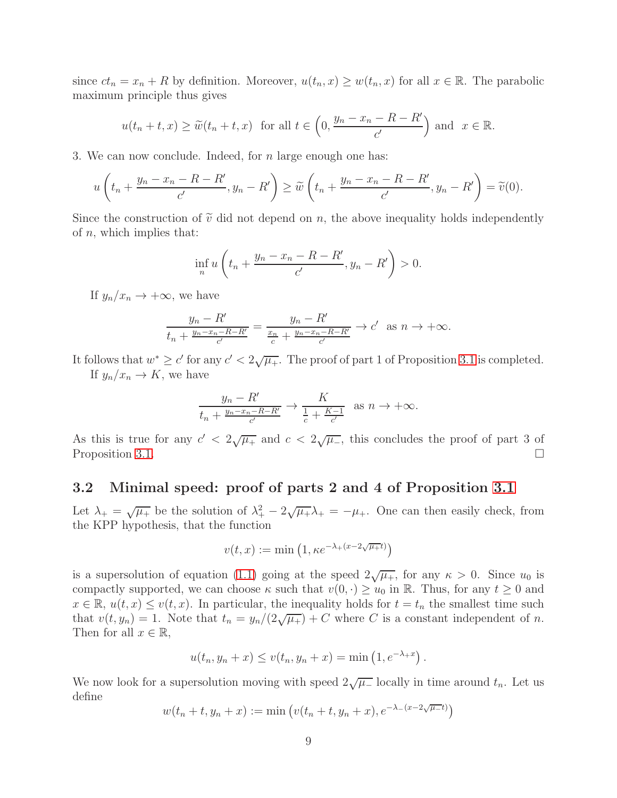since  $ct_n = x_n + R$  by definition. Moreover,  $u(t_n, x) \geq w(t_n, x)$  for all  $x \in \mathbb{R}$ . The parabolic maximum principle thus gives

$$
u(t_n + t, x) \ge \tilde{w}(t_n + t, x)
$$
 for all  $t \in \left(0, \frac{y_n - x_n - R - R'}{c'}\right)$  and  $x \in \mathbb{R}$ .

3. We can now conclude. Indeed, for  $n$  large enough one has:

$$
u\left(t_n+\frac{y_n-x_n-R-R'}{c'},y_n-R'\right)\geq \widetilde{w}\left(t_n+\frac{y_n-x_n-R-R'}{c'},y_n-R'\right)=\widetilde{v}(0).
$$

Since the construction of  $\tilde{v}$  did not depend on n, the above inequality holds independently of  $n$ , which implies that:

$$
\inf_{n} u\left(t_n + \frac{y_n - x_n - R - R'}{c'}, y_n - R'\right) > 0.
$$

If  $y_n/x_n \to +\infty$ , we have

$$
\frac{y_n - R'}{t_n + \frac{y_n - x_n - R - R'}{c'}} = \frac{y_n - R'}{\frac{x_n}{c} + \frac{y_n - x_n - R - R'}{c'}} \to c' \text{ as } n \to +\infty.
$$

It follows that  $w^* \geq c'$  for any  $c' < 2\sqrt{\mu_+}$ . The proof of part 1 of Proposition [3.1](#page-6-0) is completed. If  $y_n/x_n \to K$ , we have

$$
\frac{y_n - R'}{t_n + \frac{y_n - x_n - R - R'}{c'}} \to \frac{K}{\frac{1}{c} + \frac{K - 1}{c'}} \text{ as } n \to +\infty.
$$

As this is true for any  $c' < 2\sqrt{\mu_{+}}$  and  $c < 2\sqrt{\mu_{-}}$ , this concludes the proof of part 3 of Proposition [3.1.](#page-6-0)

#### 3.2 Minimal speed: proof of parts 2 and 4 of Proposition [3.1](#page-6-0)

Let  $\lambda_+ = \sqrt{\mu_+}$  be the solution of  $\lambda_+^2 - 2\sqrt{\mu_+}\lambda_+ = -\mu_+$ . One can then easily check, from the KPP hypothesis, that the function

$$
v(t,x) := \min\left(1, \kappa e^{-\lambda_+(x-2\sqrt{\mu_+}t)}\right)
$$

is a supersolution of equation [\(1.1\)](#page-0-0) going at the speed  $2\sqrt{\mu_{+}}$ , for any  $\kappa > 0$ . Since  $u_0$  is compactly supported, we can choose  $\kappa$  such that  $v(0, \cdot) \geq u_0$  in R. Thus, for any  $t \geq 0$  and  $x \in \mathbb{R}, u(t, x) \leq v(t, x)$ . In particular, the inequality holds for  $t = t_n$  the smallest time such that  $v(t, y_n) = 1$ . Note that  $t_n = y_n/(2\sqrt{\mu_+}) + C$  where C is a constant independent of n. Then for all  $x \in \mathbb{R}$ ,

$$
u(t_n, y_n + x) \le v(t_n, y_n + x) = \min(1, e^{-\lambda_+ x}).
$$

We now look for a supersolution moving with speed  $2\sqrt{\mu_{-}}$  locally in time around  $t_n$ . Let us define

$$
w(t_n + t, y_n + x) := \min (v(t_n + t, y_n + x), e^{-\lambda - (x - 2\sqrt{\mu - t})})
$$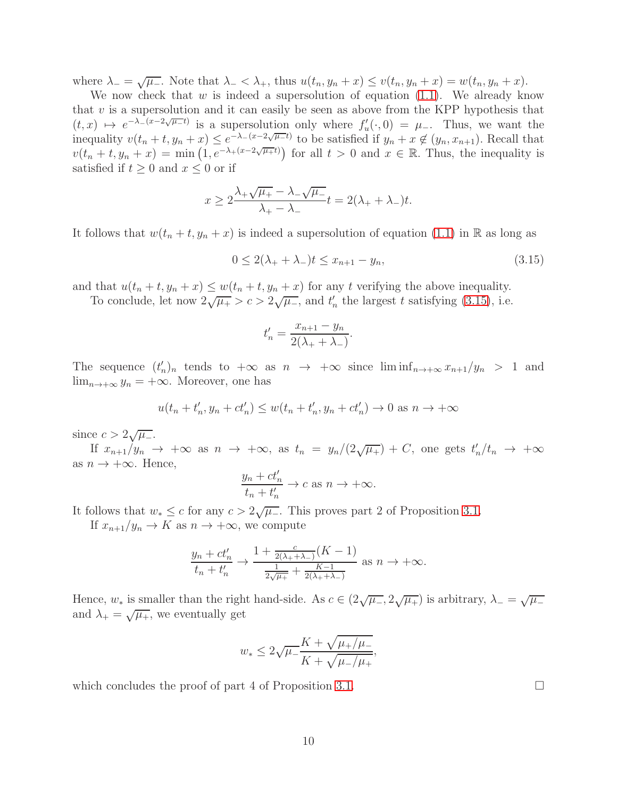where  $\lambda_-=\sqrt{\mu_-}$ . Note that  $\lambda_-<\lambda_+$ , thus  $u(t_n,y_n+x)\leq v(t_n,y_n+x)=w(t_n,y_n+x)$ .

We now check that  $w$  is indeed a supersolution of equation [\(1.1\)](#page-0-0). We already know that  $v$  is a supersolution and it can easily be seen as above from the KPP hypothesis that  $(t, x) \mapsto e^{-\lambda - (x-2\sqrt{\mu}-t)}$  is a supersolution only where  $f'_u(\cdot, 0) = \mu$ . Thus, we want the inequality  $v(t_n + t, y_n + x) \leq e^{-\lambda - (x-2\sqrt{\mu}-t)}$  to be satisfied if  $y_n + x \notin (y_n, x_{n+1})$ . Recall that  $v(t_n + t, y_n + x) = \min\left(1, e^{-\lambda_+(x-2\sqrt{\mu_+}t)}\right)$  for all  $t > 0$  and  $x \in \mathbb{R}$ . Thus, the inequality is satisfied if  $t \geq 0$  and  $x \leq 0$  or if

$$
x \ge 2\frac{\lambda_+\sqrt{\mu_+}-\lambda_-\sqrt{\mu_-}}{\lambda_+-\lambda_-}t = 2(\lambda_++\lambda_-)t.
$$

It follows that  $w(t_n + t, y_n + x)$  is indeed a supersolution of equation [\(1.1\)](#page-0-0) in R as long as

<span id="page-9-0"></span>
$$
0 \le 2(\lambda_+ + \lambda_-)t \le x_{n+1} - y_n,\tag{3.15}
$$

and that  $u(t_n + t, y_n + x) \leq w(t_n + t, y_n + x)$  for any t verifying the above inequality.

To conclude, let now  $2\sqrt{\mu_{+}} > c > 2\sqrt{\mu_{-}}$ , and  $t'_{n}$  the largest t satisfying [\(3.15\)](#page-9-0), i.e.

$$
t_n' = \frac{x_{n+1} - y_n}{2(\lambda_+ + \lambda_-)}.
$$

The sequence  $(t'_n)_n$  tends to  $+\infty$  as  $n \to +\infty$  since  $\liminf_{n \to +\infty} x_{n+1}/y_n > 1$  and  $\lim_{n\to+\infty} y_n = +\infty$ . Moreover, one has

$$
u(t_n + t'_n, y_n + ct'_n) \leq w(t_n + t'_n, y_n + ct'_n) \to 0 \text{ as } n \to +\infty
$$

since  $c > 2\sqrt{\mu_-}.$ 

If  $x_{n+1}/y_n \to +\infty$  as  $n \to +\infty$ , as  $t_n = y_n/(2\sqrt{\mu_+}) + C$ , one gets  $t'_n/t_n \to +\infty$ as  $n \to +\infty$ . Hence,

$$
\frac{y_n + ct'_n}{t_n + t'_n} \to c \text{ as } n \to +\infty.
$$

It follows that  $w_* \leq c$  for any  $c > 2\sqrt{\mu_-}$ . This proves part 2 of Proposition [3.1.](#page-6-0)

If  $x_{n+1}/y_n \to K$  as  $n \to +\infty$ , we compute

$$
\frac{y_n + ct'_n}{t_n + t'_n} \to \frac{1 + \frac{c}{2(\lambda_+ + \lambda_-)}(K - 1)}{\frac{1}{2\sqrt{\mu_+}} + \frac{K - 1}{2(\lambda_+ + \lambda_-)}} \text{ as } n \to +\infty.
$$

Hence,  $w_*$  is smaller than the right hand-side. As  $c \in (2\sqrt{\mu_*}, 2\sqrt{\mu_*})$  is arbitrary,  $\lambda_- = \sqrt{\mu_-}$ and  $\lambda_+ = \sqrt{\mu_+}$ , we eventually get

$$
w_* \le 2\sqrt{\mu_-}\frac{K + \sqrt{\mu_+/\mu_-}}{K + \sqrt{\mu_-/\mu_+}},
$$

which concludes the proof of part 4 of Proposition [3.1.](#page-6-0)  $\Box$ 

10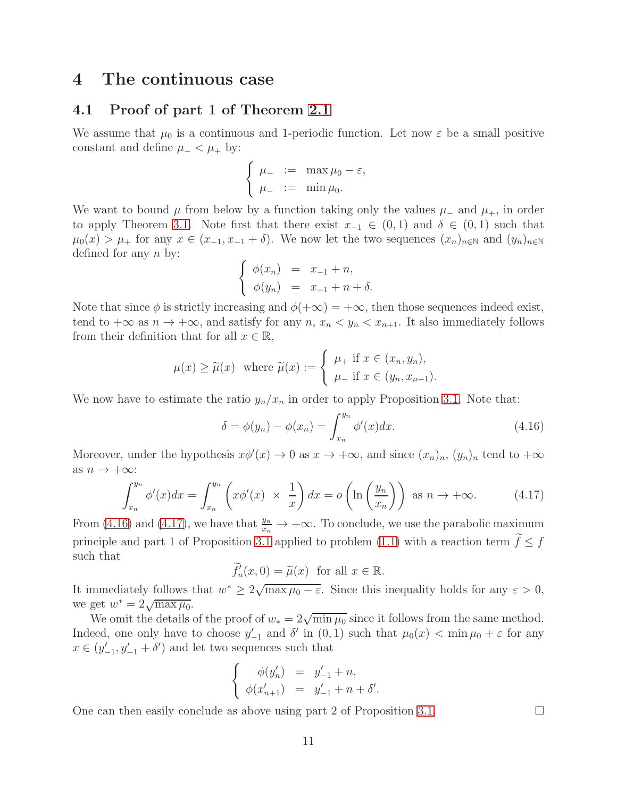### <span id="page-10-0"></span>4 The continuous case

#### 4.1 Proof of part 1 of Theorem [2.1](#page-3-1)

We assume that  $\mu_0$  is a continuous and 1-periodic function. Let now  $\varepsilon$  be a small positive constant and define  $\mu_- < \mu_+$  by:

$$
\begin{cases} \mu_+ &:= \max \mu_0 - \varepsilon, \\ \mu_- &:= \min \mu_0. \end{cases}
$$

We want to bound  $\mu$  from below by a function taking only the values  $\mu$ <sub>−</sub> and  $\mu$ <sub>+</sub>, in order to apply Theorem [3.1.](#page-6-0) Note first that there exist  $x_{-1} \in (0,1)$  and  $\delta \in (0,1)$  such that  $\mu_0(x) > \mu_+$  for any  $x \in (x_{-1}, x_{-1} + \delta)$ . We now let the two sequences  $(x_n)_{n \in \mathbb{N}}$  and  $(y_n)_{n \in \mathbb{N}}$ defined for any  $n$  by:

$$
\begin{cases} \phi(x_n) = x_{-1} + n, \\ \phi(y_n) = x_{-1} + n + \delta. \end{cases}
$$

Note that since  $\phi$  is strictly increasing and  $\phi(+\infty) = +\infty$ , then those sequences indeed exist, tend to  $+\infty$  as  $n \to +\infty$ , and satisfy for any  $n, x_n < y_n < x_{n+1}$ . It also immediately follows from their definition that for all  $x \in \mathbb{R}$ ,

$$
\mu(x) \ge \widetilde{\mu}(x) \quad \text{where } \widetilde{\mu}(x) := \begin{cases} \mu_+ \text{ if } x \in (x_n, y_n), \\ \mu_- \text{ if } x \in (y_n, x_{n+1}). \end{cases}
$$

We now have to estimate the ratio  $y_n/x_n$  in order to apply Proposition [3.1.](#page-6-0) Note that:

<span id="page-10-1"></span>
$$
\delta = \phi(y_n) - \phi(x_n) = \int_{x_n}^{y_n} \phi'(x) dx.
$$
 (4.16)

Moreover, under the hypothesis  $x\phi'(x) \to 0$  as  $x \to +\infty$ , and since  $(x_n)_n$ ,  $(y_n)_n$  tend to  $+\infty$ as  $n \to +\infty$ :

<span id="page-10-2"></span>
$$
\int_{x_n}^{y_n} \phi'(x) dx = \int_{x_n}^{y_n} \left( x \phi'(x) \times \frac{1}{x} \right) dx = o \left( \ln \left( \frac{y_n}{x_n} \right) \right) \text{ as } n \to +\infty. \tag{4.17}
$$

From [\(4.16\)](#page-10-1) and [\(4.17\)](#page-10-2), we have that  $\frac{y_n}{x_n} \to +\infty$ . To conclude, we use the parabolic maximum principle and part 1 of Proposition [3.1](#page-6-0) applied to problem [\(1.1\)](#page-0-0) with a reaction term  $\widetilde{f}\leq f$ such that

$$
\widetilde{f}'_u(x,0) = \widetilde{\mu}(x) \text{ for all } x \in \mathbb{R}.
$$

It immediately follows that  $w^* \geq 2\sqrt{\max \mu_0 - \varepsilon}$ . Since this inequality holds for any  $\varepsilon > 0$ , we get  $w^* = 2\sqrt{\max \mu_0}$ .

We omit the details of the proof of  $w_* = 2\sqrt{\min \mu_0}$  since it follows from the same method. Indeed, one only have to choose  $y'_{-1}$  and  $\delta'$  in  $(0,1)$  such that  $\mu_0(x) < \min \mu_0 + \varepsilon$  for any  $x \in (y'_{-1}, y'_{-1} + \delta')$  and let two sequences such that

$$
\begin{cases}\n\phi(y'_n) = y'_{-1} + n, \\
\phi(x'_{n+1}) = y'_{-1} + n + \delta'.\n\end{cases}
$$

One can then easily conclude as above using part 2 of Proposition [3.1.](#page-6-0)  $\Box$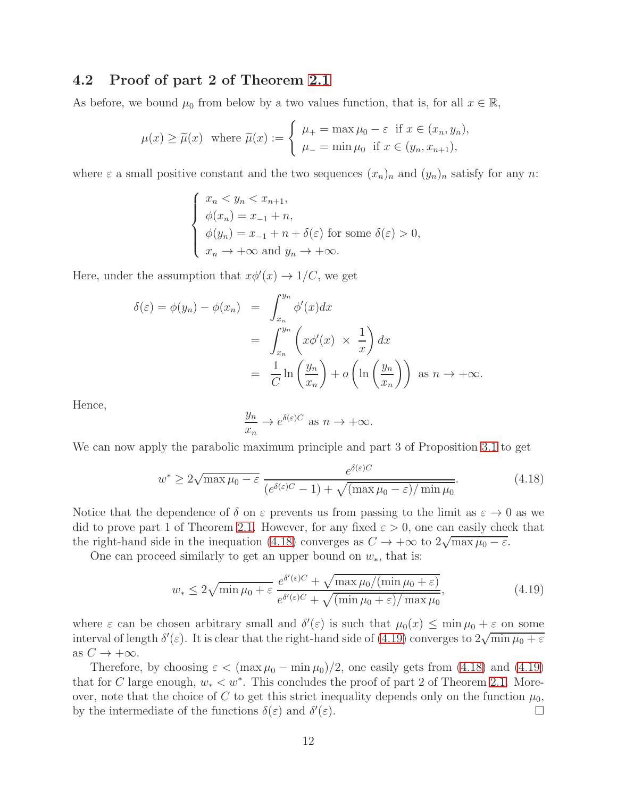#### 4.2 Proof of part 2 of Theorem [2.1](#page-3-1)

As before, we bound  $\mu_0$  from below by a two values function, that is, for all  $x \in \mathbb{R}$ ,

$$
\mu(x) \ge \widetilde{\mu}(x) \quad \text{where } \widetilde{\mu}(x) := \begin{cases} \mu_+ = \max \mu_0 - \varepsilon \quad \text{if } x \in (x_n, y_n), \\ \mu_- = \min \mu_0 \quad \text{if } x \in (y_n, x_{n+1}), \end{cases}
$$

where  $\varepsilon$  a small positive constant and the two sequences  $(x_n)_n$  and  $(y_n)_n$  satisfy for any n:

$$
\begin{cases}\n x_n < y_n < x_{n+1}, \\
 \phi(x_n) = x_{-1} + n, \\
 \phi(y_n) = x_{-1} + n + \delta(\varepsilon) \text{ for some } \delta(\varepsilon) > 0, \\
 x_n \to +\infty \text{ and } y_n \to +\infty.\n\end{cases}
$$

Here, under the assumption that  $x\phi'(x) \to 1/C$ , we get

$$
\delta(\varepsilon) = \phi(y_n) - \phi(x_n) = \int_{x_n}^{y_n} \phi'(x) dx
$$
  
= 
$$
\int_{x_n}^{y_n} \left( x \phi'(x) \times \frac{1}{x} \right) dx
$$
  
= 
$$
\frac{1}{C} \ln \left( \frac{y_n}{x_n} \right) + o \left( \ln \left( \frac{y_n}{x_n} \right) \right) \text{ as } n \to +\infty.
$$

Hence,

$$
\frac{y_n}{x_n} \to e^{\delta(\varepsilon)C} \text{ as } n \to +\infty.
$$

We can now apply the parabolic maximum principle and part 3 of Proposition [3.1](#page-6-0) to get

<span id="page-11-0"></span>
$$
w^* \ge 2\sqrt{\max \mu_0 - \varepsilon} \frac{e^{\delta(\varepsilon)C}}{(e^{\delta(\varepsilon)C} - 1) + \sqrt{(\max \mu_0 - \varepsilon)/\min \mu_0}}.
$$
(4.18)

Notice that the dependence of  $\delta$  on  $\varepsilon$  prevents us from passing to the limit as  $\varepsilon \to 0$  as we did to prove part 1 of Theorem [2.1.](#page-3-1) However, for any fixed  $\varepsilon > 0$ , one can easily check that the right-hand side in the inequation [\(4.18\)](#page-11-0) converges as  $C \to +\infty$  to  $2\sqrt{\max \mu_0 - \varepsilon}$ .

One can proceed similarly to get an upper bound on  $w_*,$  that is:

<span id="page-11-1"></span>
$$
w_* \le 2\sqrt{\min \mu_0 + \varepsilon} \frac{e^{\delta'(\varepsilon)C} + \sqrt{\max \mu_0/(\min \mu_0 + \varepsilon)}}{e^{\delta'(\varepsilon)C} + \sqrt{(\min \mu_0 + \varepsilon)/\max \mu_0}},
$$
(4.19)

where  $\varepsilon$  can be chosen arbitrary small and  $\delta'(\varepsilon)$  is such that  $\mu_0(x) \leq \min \mu_0 + \varepsilon$  on some interval of length  $\delta'(\varepsilon)$ . It is clear that the right-hand side of [\(4.19\)](#page-11-1) converges to  $2\sqrt{\min \mu_0 + \varepsilon}$ as  $C \rightarrow +\infty$ .

Therefore, by choosing  $\varepsilon < (\max \mu_0 - \min \mu_0)/2$ , one easily gets from [\(4.18\)](#page-11-0) and [\(4.19\)](#page-11-1) that for C large enough,  $w_* < w^*$ . This concludes the proof of part 2 of Theorem [2.1.](#page-3-1) Moreover, note that the choice of C to get this strict inequality depends only on the function  $\mu_0$ , by the intermediate of the functions  $\delta(\varepsilon)$  and  $\delta'$  $(\varepsilon)$ .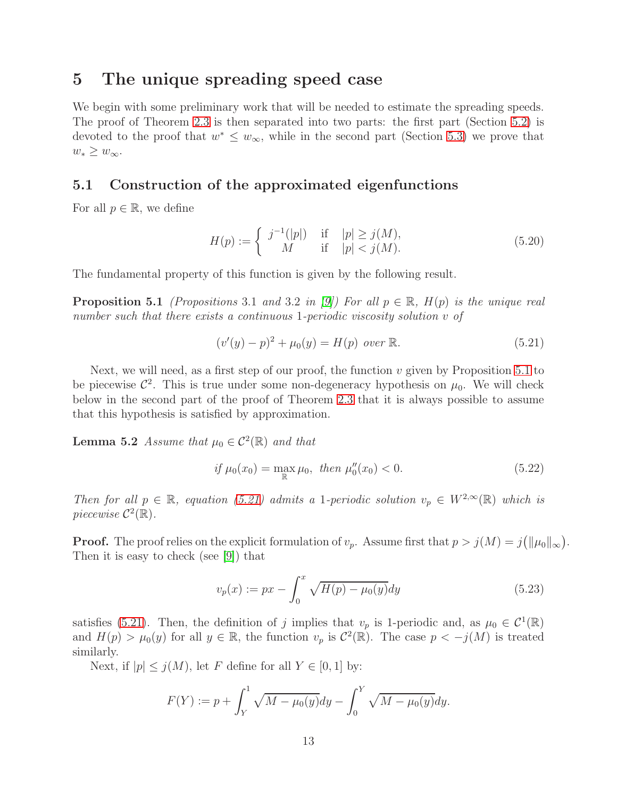### <span id="page-12-0"></span>5 The unique spreading speed case

We begin with some preliminary work that will be needed to estimate the spreading speeds. The proof of Theorem [2.3](#page-4-2) is then separated into two parts: the first part (Section [5.2\)](#page-15-0) is devoted to the proof that  $w^* \leq w_{\infty}$ , while in the second part (Section [5.3\)](#page-16-0) we prove that  $w_* \geq w_{\infty}.$ 

### 5.1 Construction of the approximated eigenfunctions

For all  $p \in \mathbb{R}$ , we define

$$
H(p) := \begin{cases} j^{-1}(|p|) & \text{if } |p| \ge j(M), \\ M & \text{if } |p| < j(M). \end{cases} \tag{5.20}
$$

<span id="page-12-1"></span>The fundamental property of this function is given by the following result.

**Proposition 5.1** *(Propositions* 3.1 *and* 3.2 *in* [\[9\]](#page-18-9)*)* For all  $p \in \mathbb{R}$ ,  $H(p)$  *is the unique real number such that there exists a continuous* 1*-periodic viscosity solution* v *of*

<span id="page-12-2"></span>
$$
(v'(y) - p)^2 + \mu_0(y) = H(p) \text{ over } \mathbb{R}.
$$
 (5.21)

Next, we will need, as a first step of our proof, the function  $v$  given by Proposition [5.1](#page-12-1) to be piecewise  $\mathcal{C}^2$ . This is true under some non-degeneracy hypothesis on  $\mu_0$ . We will check below in the second part of the proof of Theorem [2.3](#page-4-2) that it is always possible to assume that this hypothesis is satisfied by approximation.

**Lemma 5.2** *Assume that*  $\mu_0 \in C^2(\mathbb{R})$  *and that* 

<span id="page-12-3"></span>
$$
if \mu_0(x_0) = \max_{\mathbb{R}} \mu_0, \ then \ \mu_0''(x_0) < 0. \tag{5.22}
$$

*Then for all*  $p \in \mathbb{R}$ *, equation [\(5.21\)](#page-12-2) admits a* 1*-periodic solution*  $v_p \in W^{2,\infty}(\mathbb{R})$  *which is piecewise*  $C^2(\mathbb{R})$ .

**Proof.** The proof relies on the explicit formulation of  $v_p$ . Assume first that  $p > j(M) = j(||\mu_0||_{\infty})$ . Then it is easy to check (see [\[9\]](#page-18-9)) that

$$
v_p(x) := px - \int_0^x \sqrt{H(p) - \mu_0(y)} dy
$$
\n(5.23)

satisfies [\(5.21\)](#page-12-2). Then, the definition of j implies that  $v_p$  is 1-periodic and, as  $\mu_0 \in C^1(\mathbb{R})$ and  $H(p) > \mu_0(y)$  for all  $y \in \mathbb{R}$ , the function  $v_p$  is  $\mathcal{C}^2(\mathbb{R})$ . The case  $p < -j(M)$  is treated similarly.

Next, if  $|p| \leq j(M)$ , let F define for all  $Y \in [0,1]$  by:

$$
F(Y) := p + \int_{Y}^{1} \sqrt{M - \mu_0(y)} dy - \int_{0}^{Y} \sqrt{M - \mu_0(y)} dy.
$$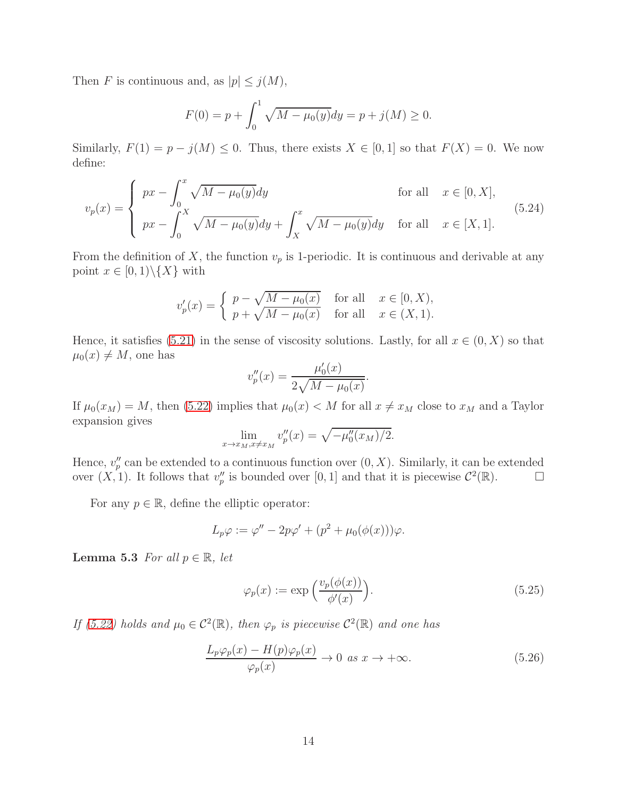Then F is continuous and, as  $|p| \le j(M)$ ,

$$
F(0) = p + \int_0^1 \sqrt{M - \mu_0(y)} dy = p + j(M) \ge 0.
$$

Similarly,  $F(1) = p - j(M) \leq 0$ . Thus, there exists  $X \in [0, 1]$  so that  $F(X) = 0$ . We now define:

$$
v_p(x) = \begin{cases} px - \int_0^x \sqrt{M - \mu_0(y)} dy & \text{for all} \quad x \in [0, X], \\ px - \int_0^X \sqrt{M - \mu_0(y)} dy + \int_X^x \sqrt{M - \mu_0(y)} dy & \text{for all} \quad x \in [X, 1]. \end{cases}
$$
(5.24)

From the definition of X, the function  $v_p$  is 1-periodic. It is continuous and derivable at any point  $x \in [0,1) \setminus \{X\}$  with

$$
v_p'(x) = \begin{cases} p - \sqrt{M - \mu_0(x)} & \text{for all} \quad x \in [0, X), \\ p + \sqrt{M - \mu_0(x)} & \text{for all} \quad x \in (X, 1). \end{cases}
$$

Hence, it satisfies [\(5.21\)](#page-12-2) in the sense of viscosity solutions. Lastly, for all  $x \in (0, X)$  so that  $\mu_0(x) \neq M$ , one has

$$
v_p''(x) = \frac{\mu_0'(x)}{2\sqrt{M - \mu_0(x)}}.
$$

If  $\mu_0(x_M) = M$ , then [\(5.22\)](#page-12-3) implies that  $\mu_0(x) < M$  for all  $x \neq x_M$  close to  $x_M$  and a Taylor expansion gives

$$
\lim_{x \to x_M, x \neq x_M} v_p''(x) = \sqrt{-\mu_0''(x_M)/2}.
$$

Hence,  $v_p''$  can be extended to a continuous function over  $(0, X)$ . Similarly, it can be extended over  $(X, 1)$ . It follows that  $v_p''$  is bounded over  $[0, 1]$  and that it is piecewise  $\mathcal{C}^2(\mathbb{R})$ .

For any  $p \in \mathbb{R}$ , define the elliptic operator:

$$
L_p \varphi := \varphi'' - 2p\varphi' + (p^2 + \mu_0(\phi(x)))\varphi.
$$

<span id="page-13-0"></span>**Lemma 5.3** *For all*  $p \in \mathbb{R}$ *, let* 

$$
\varphi_p(x) := \exp\left(\frac{v_p(\phi(x))}{\phi'(x)}\right). \tag{5.25}
$$

*If* [\(5.22\)](#page-12-3) holds and  $\mu_0 \in C^2(\mathbb{R})$ , then  $\varphi_p$  is piecewise  $C^2(\mathbb{R})$  and one has

$$
\frac{L_p \varphi_p(x) - H(p)\varphi_p(x)}{\varphi_p(x)} \to 0 \text{ as } x \to +\infty.
$$
 (5.26)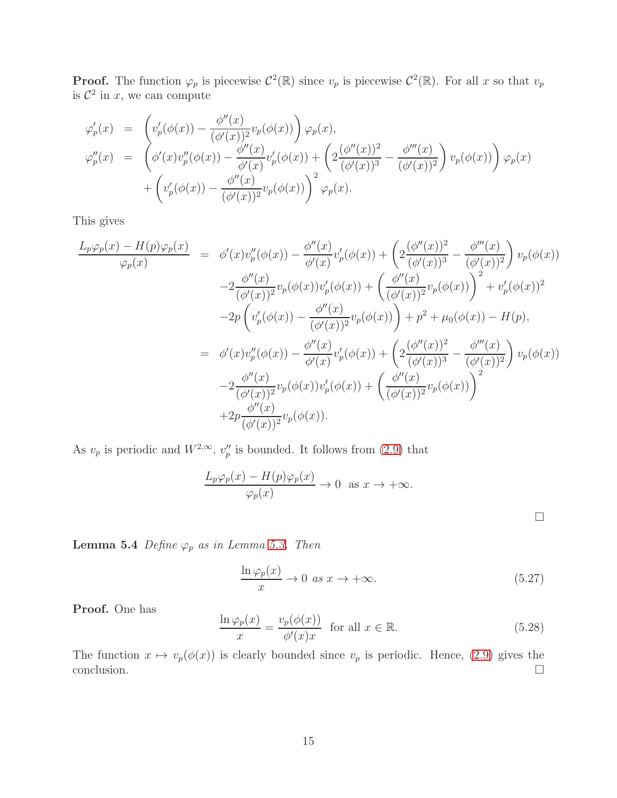**Proof.** The function  $\varphi_p$  is piecewise  $C^2(\mathbb{R})$  since  $v_p$  is piecewise  $C^2(\mathbb{R})$ . For all x so that  $v_p$ is  $\mathcal{C}^2$  in  $x$ , we can compute

$$
\varphi'_p(x) = \left( v'_p(\phi(x)) - \frac{\phi''(x)}{(\phi'(x))^2} v_p(\phi(x)) \right) \varphi_p(x), \n\varphi''_p(x) = \left( \phi'(x) v''_p(\phi(x)) - \frac{\phi''(x)}{\phi'(x)} v'_p(\phi(x)) + \left( 2 \frac{(\phi''(x))^2}{(\phi'(x))^3} - \frac{\phi'''(x)}{(\phi'(x))^2} \right) v_p(\phi(x)) \right) \varphi_p(x) \n+ \left( v'_p(\phi(x)) - \frac{\phi''(x)}{(\phi'(x))^2} v_p(\phi(x)) \right)^2 \varphi_p(x).
$$

This gives

$$
\frac{L_p \varphi_p(x) - H(p)\varphi_p(x)}{\varphi_p(x)} = \phi'(x)v''_p(\phi(x)) - \frac{\phi''(x)}{\phi'(x)}v'_p(\phi(x)) + \left(2\frac{(\phi''(x))^2}{(\phi'(x))^3} - \frac{\phi'''(x)}{(\phi'(x))^2}\right)v_p(\phi(x))
$$
  

$$
-2\frac{\phi''(x)}{(\phi'(x))^2}v_p(\phi(x))v'_p(\phi(x)) + \left(\frac{\phi''(x)}{(\phi'(x))^2}v_p(\phi(x))\right)^2 + v'_p(\phi(x))^2
$$
  

$$
-2p\left(v'_p(\phi(x)) - \frac{\phi''(x)}{(\phi'(x))^2}v_p(\phi(x))\right) + p^2 + \mu_0(\phi(x)) - H(p),
$$
  

$$
= \phi'(x)v''_p(\phi(x)) - \frac{\phi''(x)}{\phi'(x)}v'_p(\phi(x)) + \left(2\frac{(\phi''(x))^2}{(\phi'(x))^3} - \frac{\phi'''(x)}{(\phi'(x))^2}\right)v_p(\phi(x))
$$
  

$$
-2\frac{\phi''(x)}{(\phi'(x))^2}v_p(\phi(x))v'_p(\phi(x)) + \left(\frac{\phi''(x)}{(\phi'(x))^2}v_p(\phi(x))\right)^2
$$
  

$$
+2p\frac{\phi''(x)}{(\phi'(x))^2}v_p(\phi(x)).
$$

As  $v_p$  is periodic and  $W^{2,\infty}$ ,  $v''_p$  is bounded. It follows from [\(2.9\)](#page-4-1) that

$$
\frac{L_p \varphi_p(x) - H(p)\varphi_p(x)}{\varphi_p(x)} \to 0 \text{ as } x \to +\infty.
$$

<span id="page-14-0"></span>**Lemma 5.4** *Define*  $\varphi_p$  *as in Lemma [5.3.](#page-13-0) Then* 

$$
\frac{\ln \varphi_p(x)}{x} \to 0 \text{ as } x \to +\infty. \tag{5.27}
$$

 $\Box$ 

Proof. One has

$$
\frac{\ln \varphi_p(x)}{x} = \frac{v_p(\phi(x))}{\phi'(x)x} \quad \text{for all } x \in \mathbb{R}.
$$
 (5.28)

The function  $x \mapsto v_p(\phi(x))$  is clearly bounded since  $v_p$  is periodic. Hence, [\(2.9\)](#page-4-1) gives the  $\Box$ conclusion.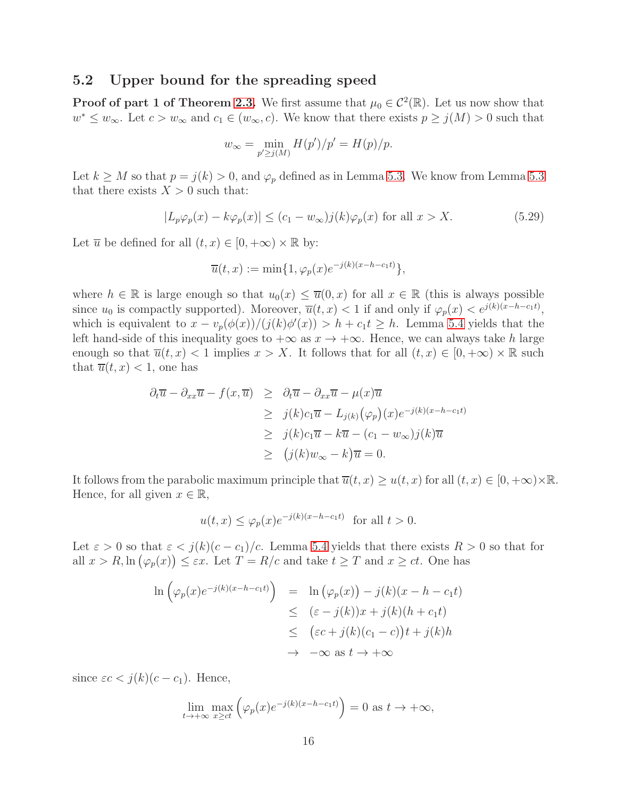#### <span id="page-15-0"></span>5.2 Upper bound for the spreading speed

**Proof of part 1 of Theorem [2.3.](#page-4-2)** We first assume that  $\mu_0 \in C^2(\mathbb{R})$ . Let us now show that  $w^* \leq w_\infty$ . Let  $c > w_\infty$  and  $c_1 \in (w_\infty, c)$ . We know that there exists  $p \geq j(M) > 0$  such that

$$
w_{\infty} = \min_{p' \ge j(M)} H(p')/p' = H(p)/p.
$$

Let  $k \geq M$  so that  $p = j(k) > 0$ , and  $\varphi_p$  defined as in Lemma [5.3.](#page-13-0) We know from Lemma [5.3](#page-13-0) that there exists  $X > 0$  such that:

$$
|L_p \varphi_p(x) - k \varphi_p(x)| \le (c_1 - w_\infty) j(k) \varphi_p(x) \text{ for all } x > X.
$$
 (5.29)

Let  $\overline{u}$  be defined for all  $(t, x) \in [0, +\infty) \times \mathbb{R}$  by:

$$
\overline{u}(t,x) := \min\{1, \varphi_p(x)e^{-j(k)(x-h-c_1t)}\},\,
$$

where  $h \in \mathbb{R}$  is large enough so that  $u_0(x) \leq \overline{u}(0, x)$  for all  $x \in \mathbb{R}$  (this is always possible since  $u_0$  is compactly supported). Moreover,  $\overline{u}(t, x) < 1$  if and only if  $\varphi_p(x) < e^{j(k)(x - h - c_1 t)}$ , which is equivalent to  $x - v_p(\phi(x))/(j(k)\phi'(x)) > h + c_1t \geq h$ . Lemma [5.4](#page-14-0) yields that the left hand-side of this inequality goes to  $+\infty$  as  $x \to +\infty$ . Hence, we can always take h large enough so that  $\overline{u}(t, x) < 1$  implies  $x > X$ . It follows that for all  $(t, x) \in [0, +\infty) \times \mathbb{R}$  such that  $\overline{u}(t, x) < 1$ , one has

$$
\partial_t \overline{u} - \partial_{xx} \overline{u} - f(x, \overline{u}) \geq \partial_t \overline{u} - \partial_{xx} \overline{u} - \mu(x) \overline{u}
$$
  
\n
$$
\geq j(k)c_1 \overline{u} - L_{j(k)}(\varphi_p)(x) e^{-j(k)(x - h - c_1 t)}
$$
  
\n
$$
\geq j(k)c_1 \overline{u} - k \overline{u} - (c_1 - w_{\infty})j(k) \overline{u}
$$
  
\n
$$
\geq (j(k)w_{\infty} - k)\overline{u} = 0.
$$

It follows from the parabolic maximum principle that  $\overline{u}(t, x) \geq u(t, x)$  for all  $(t, x) \in [0, +\infty) \times \mathbb{R}$ . Hence, for all given  $x \in \mathbb{R}$ ,

$$
u(t,x) \le \varphi_p(x) e^{-j(k)(x - h - c_1 t)} \quad \text{for all } t > 0.
$$

Let  $\varepsilon > 0$  so that  $\varepsilon < j(k)(c - c_1)/c$ . Lemma [5.4](#page-14-0) yields that there exists  $R > 0$  so that for all  $x > R$ ,  $\ln(\varphi_p(x)) \leq \varepsilon x$ . Let  $T = R/c$  and take  $t \geq T$  and  $x \geq ct$ . One has

$$
\ln\left(\varphi_p(x)e^{-j(k)(x-h-c_1t)}\right) = \ln\left(\varphi_p(x)\right) - j(k)(x-h-c_1t)
$$
  
\n
$$
\leq (\varepsilon - j(k))x + j(k)(h+c_1t)
$$
  
\n
$$
\leq (\varepsilon c + j(k)(c_1-c))t + j(k)h
$$
  
\n
$$
\to -\infty \text{ as } t \to +\infty
$$

since  $\epsilon c < j(k)(c - c_1)$ . Hence,

$$
\lim_{t \to +\infty} \max_{x \ge ct} \left( \varphi_p(x) e^{-j(k)(x - h - c_1 t)} \right) = 0 \text{ as } t \to +\infty,
$$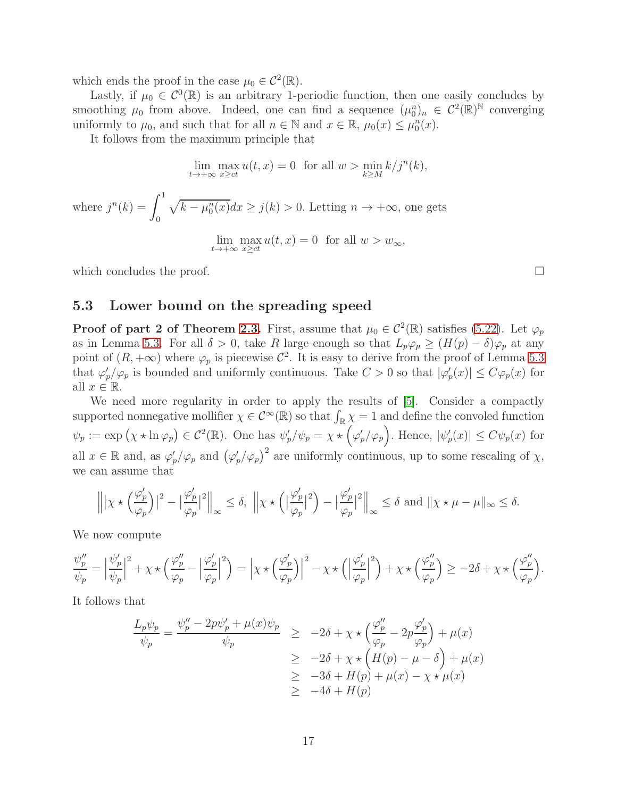which ends the proof in the case  $\mu_0 \in C^2(\mathbb{R})$ .

Lastly, if  $\mu_0 \in C^0(\mathbb{R})$  is an arbitrary 1-periodic function, then one easily concludes by smoothing  $\mu_0$  from above. Indeed, one can find a sequence  $(\mu_0^n)_n \in C^2(\mathbb{R})^{\mathbb{N}}$  converging uniformly to  $\mu_0$ , and such that for all  $n \in \mathbb{N}$  and  $x \in \mathbb{R}$ ,  $\mu_0(x) \leq \mu_0^n(x)$ .

It follows from the maximum principle that

$$
\lim_{t \to +\infty} \max_{x \ge ct} u(t, x) = 0 \text{ for all } w > \min_{k \ge M} k/j^n(k),
$$
  
where  $j^n(k) = \int_0^1 \sqrt{k - \mu_0^n(x)} dx \ge j(k) > 0$ . Letting  $n \to +\infty$ , one gets  

$$
\lim_{t \to +\infty} \max_{x \ge ct} u(t, x) = 0 \text{ for all } w > w_\infty,
$$

<span id="page-16-0"></span>which concludes the proof.  $\Box$ 

#### 5.3 Lower bound on the spreading speed

**Proof of part 2 of Theorem [2.3.](#page-4-2)** First, assume that  $\mu_0 \in C^2(\mathbb{R})$  satisfies [\(5.22\)](#page-12-3). Let  $\varphi_p$ as in Lemma [5.3.](#page-13-0) For all  $\delta > 0$ , take R large enough so that  $L_p\varphi_p \geq (H(p) - \delta)\varphi_p$  at any point of  $(R, +\infty)$  where  $\varphi_p$  is piecewise  $\mathcal{C}^2$ . It is easy to derive from the proof of Lemma [5.3](#page-13-0) that  $\varphi_p'/\varphi_p$  is bounded and uniformly continuous. Take  $C > 0$  so that  $|\varphi_p'(x)| \le C \varphi_p(x)$  for all  $x \in \mathbb{R}$ .

We need more regularity in order to apply the results of [\[5\]](#page-18-7). Consider a compactly supported nonnegative mollifier  $\chi \in C^{\infty}(\mathbb{R})$  so that  $\int_{\mathbb{R}} \chi = 1$  and define the convoled function  $\psi_p := \exp(\chi \star \ln \varphi_p) \in C^2(\mathbb{R})$ . One has  $\psi'_p/\psi_p = \chi \star (\varphi'_p/\varphi_p)$ . Hence,  $|\psi'_p(x)| \le C\psi_p(x)$  for all  $x \in \mathbb{R}$  and, as  $\varphi'_p/\varphi_p$  and  $(\varphi'_p/\varphi_p)^2$  are uniformly continuous, up to some rescaling of  $\chi$ , we can assume that

$$
\left\| |\chi \star \left(\frac{\varphi_p'}{\varphi_p}\right)|^2 - \left|\frac{\varphi_p'}{\varphi_p}\right|^2 \right\|_{\infty} \le \delta, \ \left\| \chi \star \left( \left|\frac{\varphi_p'}{\varphi_p}\right|^2 \right) - \left|\frac{\varphi_p'}{\varphi_p}\right|^2 \right\|_{\infty} \le \delta \text{ and } \|\chi \star \mu - \mu\|_{\infty} \le \delta.
$$

We now compute

$$
\frac{\psi_p''}{\psi_p} = \left| \frac{\psi_p'}{\psi_p} \right|^2 + \chi \star \left( \frac{\varphi_p''}{\varphi_p} - \left| \frac{\varphi_p'}{\varphi_p} \right|^2 \right) = \left| \chi \star \left( \frac{\varphi_p'}{\varphi_p} \right) \right|^2 - \chi \star \left( \left| \frac{\varphi_p'}{\varphi_p} \right|^2 \right) + \chi \star \left( \frac{\varphi_p''}{\varphi_p} \right) \ge -2\delta + \chi \star \left( \frac{\varphi_p''}{\varphi_p} \right).
$$

It follows that

$$
\frac{L_p \psi_p}{\psi_p} = \frac{\psi''_p - 2p\psi'_p + \mu(x)\psi_p}{\psi_p} \ge -2\delta + \chi \star \left(\frac{\varphi''_p}{\varphi_p} - 2p\frac{\varphi'_p}{\varphi_p}\right) + \mu(x)
$$
  
\n
$$
\ge -2\delta + \chi \star \left(H(p) - \mu - \delta\right) + \mu(x)
$$
  
\n
$$
\ge -3\delta + H(p) + \mu(x) - \chi \star \mu(x)
$$
  
\n
$$
\ge -4\delta + H(p)
$$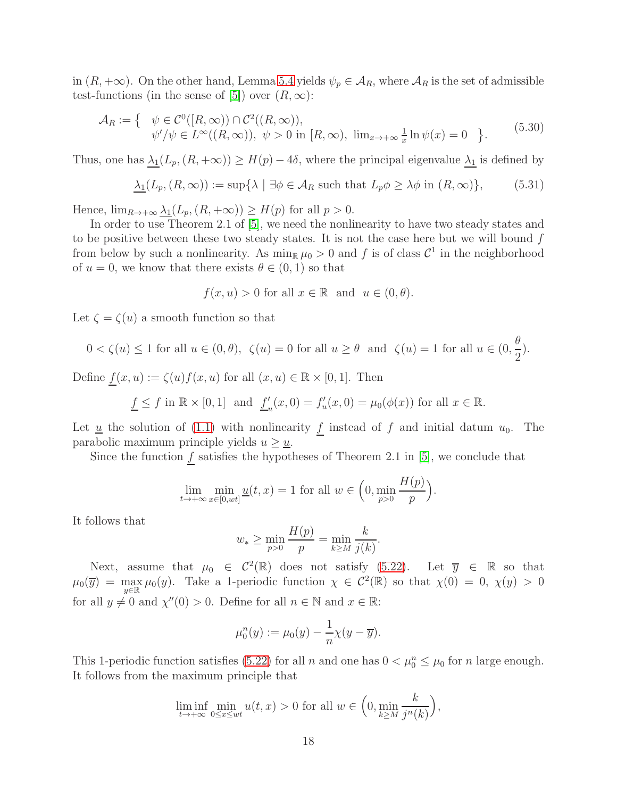in  $(R, +\infty)$ . On the other hand, Lemma [5.4](#page-14-0) yields  $\psi_p \in A_R$ , where  $A_R$  is the set of admissible test-functions (in the sense of [\[5\]](#page-18-7)) over  $(R, \infty)$ :

$$
\mathcal{A}_R := \left\{ \begin{array}{ll} \psi \in C^0([R,\infty)) \cap C^2((R,\infty)), \\ \psi'/\psi \in L^\infty((R,\infty)), \ \psi > 0 \text{ in } [R,\infty), \ \lim_{x \to +\infty} \frac{1}{x} \ln \psi(x) = 0 \end{array} \right\}.
$$
 (5.30)

Thus, one has  $\lambda_1(L_p,(R, +\infty)) \geq H(p) - 4\delta$ , where the principal eigenvalue  $\lambda_1$  is defined by

$$
\lambda_1(L_p, (R, \infty)) := \sup \{ \lambda \mid \exists \phi \in \mathcal{A}_R \text{ such that } L_p \phi \ge \lambda \phi \text{ in } (R, \infty) \},\tag{5.31}
$$

Hence,  $\lim_{R\to+\infty}\lambda_1(L_p,(R,+\infty))\geq H(p)$  for all  $p>0$ .

In order to use Theorem 2.1 of [\[5\]](#page-18-7), we need the nonlinearity to have two steady states and to be positive between these two steady states. It is not the case here but we will bound f from below by such a nonlinearity. As  $\min_{\mathbb{R}} \mu_0 > 0$  and f is of class  $\mathcal{C}^1$  in the neighborhood of  $u = 0$ , we know that there exists  $\theta \in (0, 1)$  so that

$$
f(x, u) > 0
$$
 for all  $x \in \mathbb{R}$  and  $u \in (0, \theta)$ .

Let  $\zeta = \zeta(u)$  a smooth function so that

$$
0 < \zeta(u) \le 1 \text{ for all } u \in (0, \theta), \ \zeta(u) = 0 \text{ for all } u \ge \theta \text{ and } \ \zeta(u) = 1 \text{ for all } u \in (0, \frac{\theta}{2}).
$$

Define  $\underline{f}(x, u) := \zeta(u) f(x, u)$  for all  $(x, u) \in \mathbb{R} \times [0, 1]$ . Then

$$
\underline{f} \le f \text{ in } \mathbb{R} \times [0,1] \text{ and } \underline{f}'_u(x,0) = f'_u(x,0) = \mu_0(\phi(x)) \text{ for all } x \in \mathbb{R}.
$$

Let  $\underline{u}$  the solution of [\(1.1\)](#page-0-0) with nonlinearity  $\underline{f}$  instead of  $f$  and initial datum  $u_0$ . The parabolic maximum principle yields  $u \geq \underline{u}$ .

Since the function  $f$  satisfies the hypotheses of Theorem 2.1 in [\[5\]](#page-18-7), we conclude that

$$
\lim_{t \to +\infty} \min_{x \in [0, wt]} \underline{u}(t, x) = 1 \text{ for all } w \in \left(0, \min_{p > 0} \frac{H(p)}{p}\right).
$$

It follows that

$$
w_* \ge \min_{p>0} \frac{H(p)}{p} = \min_{k \ge M} \frac{k}{j(k)}.
$$

Next, assume that  $\mu_0 \in C^2(\mathbb{R})$  does not satisfy [\(5.22\)](#page-12-3). Let  $\overline{y} \in \mathbb{R}$  so that  $\mu_0(\overline{y}) = \max_{\pi}$  $\max_{y \in \mathbb{R}} \mu_0(y)$ . Take a 1-periodic function  $\chi \in C^2(\mathbb{R})$  so that  $\chi(0) = 0$ ,  $\chi(y) > 0$ for all  $y \neq 0$  and  $\chi''(0) > 0$ . Define for all  $n \in \mathbb{N}$  and  $x \in \mathbb{R}$ :

$$
\mu_0^n(y) := \mu_0(y) - \frac{1}{n}\chi(y - \overline{y}).
$$

This 1-periodic function satisfies [\(5.22\)](#page-12-3) for all n and one has  $0 < \mu_0^n \leq \mu_0$  for n large enough. It follows from the maximum principle that

$$
\liminf_{t \to +\infty} \min_{0 \le x \le wt} u(t, x) > 0 \text{ for all } w \in \left(0, \min_{k \ge M} \frac{k}{j^n(k)}\right),
$$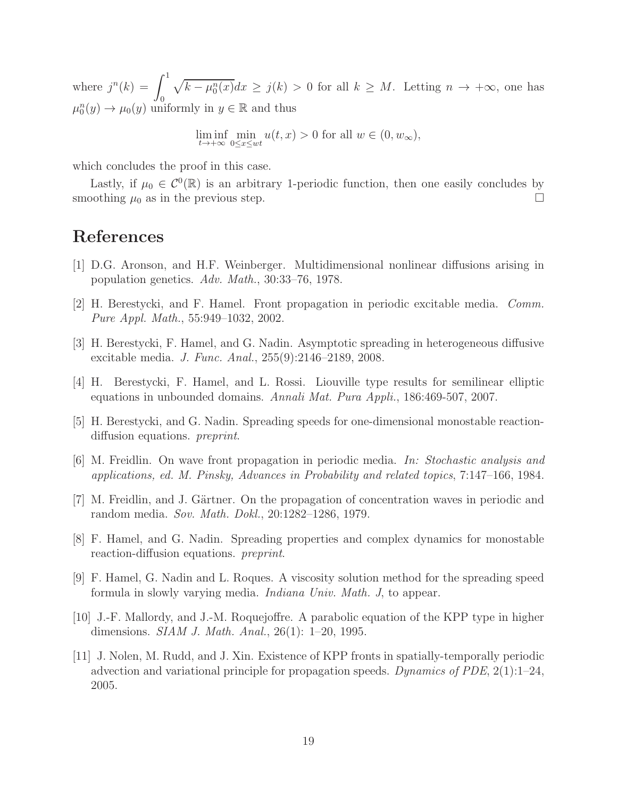where  $j^{n}(k) = \int_{0}^{1}$  $\theta$  $\sqrt{k - \mu_0^n(x)}dx \geq j(k) > 0$  for all  $k \geq M$ . Letting  $n \to +\infty$ , one has  $\mu_0^n(y) \to \mu_0(y)$  uniformly in  $y \in \mathbb{R}$  and thus

$$
\liminf_{t \to +\infty} \min_{0 \le x \le wt} u(t, x) > 0
$$
 for all  $w \in (0, w_{\infty}),$ 

which concludes the proof in this case.

Lastly, if  $\mu_0 \in C^0(\mathbb{R})$  is an arbitrary 1-periodic function, then one easily concludes by smoothing  $\mu_0$  as in the previous step.

### <span id="page-18-1"></span>References

- <span id="page-18-5"></span>[1] D.G. Aronson, and H.F. Weinberger. Multidimensional nonlinear diffusions arising in population genetics. *Adv. Math.*, 30:33–76, 1978.
- <span id="page-18-4"></span>[2] H. Berestycki, and F. Hamel. Front propagation in periodic excitable media. *Comm. Pure Appl. Math.*, 55:949–1032, 2002.
- <span id="page-18-0"></span>[3] H. Berestycki, F. Hamel, and G. Nadin. Asymptotic spreading in heterogeneous diffusive excitable media. *J. Func. Anal.*, 255(9):2146–2189, 2008.
- <span id="page-18-7"></span>[4] H. Berestycki, F. Hamel, and L. Rossi. Liouville type results for semilinear elliptic equations in unbounded domains. *Annali Mat. Pura Appli.*, 186:469-507, 2007.
- <span id="page-18-3"></span>[5] H. Berestycki, and G. Nadin. Spreading speeds for one-dimensional monostable reactiondiffusion equations. *preprint*.
- <span id="page-18-2"></span>[6] M. Freidlin. On wave front propagation in periodic media. *In: Stochastic analysis and applications, ed. M. Pinsky, Advances in Probability and related topics*, 7:147–166, 1984.
- <span id="page-18-8"></span>[7] M. Freidlin, and J. Gärtner. On the propagation of concentration waves in periodic and random media. *Sov. Math. Dokl.*, 20:1282–1286, 1979.
- [8] F. Hamel, and G. Nadin. Spreading properties and complex dynamics for monostable reaction-diffusion equations. *preprint*.
- <span id="page-18-9"></span>[9] F. Hamel, G. Nadin and L. Roques. A viscosity solution method for the spreading speed formula in slowly varying media. *Indiana Univ. Math. J*, to appear.
- <span id="page-18-6"></span>[10] J.-F. Mallordy, and J.-M. Roquejoffre. A parabolic equation of the KPP type in higher dimensions. *SIAM J. Math. Anal.*, 26(1): 1–20, 1995.
- [11] J. Nolen, M. Rudd, and J. Xin. Existence of KPP fronts in spatially-temporally periodic advection and variational principle for propagation speeds. *Dynamics of PDE*, 2(1):1–24, 2005.